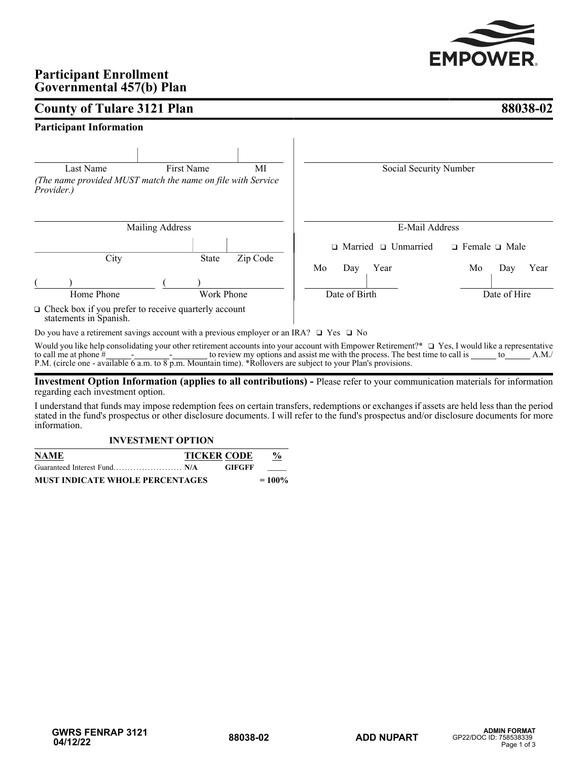

# **Participant Enrollment Governmental 457(b) Plan**

# **County of Tulare 3121 Plan 88038-02**

# **Participant Information**

| Last Name                                                                             | <b>First Name</b>      | MI       | Social Security Number          |                           |
|---------------------------------------------------------------------------------------|------------------------|----------|---------------------------------|---------------------------|
| (The name provided MUST match the name on file with Service<br>Provider.)             |                        |          |                                 |                           |
|                                                                                       | <b>Mailing Address</b> |          | E-Mail Address                  |                           |
|                                                                                       |                        |          | $\Box$ Married $\Box$ Unmarried | $\Box$ Female $\Box$ Male |
| City                                                                                  | <b>State</b>           | Zip Code | Mo<br>Year<br>Day               | Year<br>Mo<br>Day         |
| Home Phone                                                                            | Work Phone             |          | Date of Birth                   | Date of Hire              |
| $\Box$ Check box if you prefer to receive quarterly account<br>statements in Spanish. |                        |          |                                 |                           |

Do you have a retirement savings account with a previous employer or an IRA?  $\Box$  Yes  $\Box$  No

Would you like help consolidating your other retirement accounts into your account with Empower Retirement?\*  $\Box$  Yes, I would like a representative to call me at phone  $\#$   $\qquad \qquad$   $\qquad \qquad$  -  $\qquad \qquad$  to review my options and assist me with the process. The best time to call is  $\qquad \qquad$  to  $\qquad \qquad$  A.M./ P.M. (circle one - available 6 a.m. to 8 p.m. Mountain time). \*Rollovers are subject to your Plan's provisions.

**Investment Option Information (applies to all contributions) -** Please refer to your communication materials for information regarding each investment option.

I understand that funds may impose redemption fees on certain transfers, redemptions or exchanges if assets are held less than the period stated in the fund's prospectus or other disclosure documents. I will refer to the fund's prospectus and/or disclosure documents for more information.

# **INVESTMENT OPTION**

| <b>NAME</b>                            | <b>TICKER CODE</b> |               | $\%$      |
|----------------------------------------|--------------------|---------------|-----------|
|                                        |                    | <b>GIFGFF</b> |           |
| <b>MUST INDICATE WHOLE PERCENTAGES</b> |                    |               | $= 100\%$ |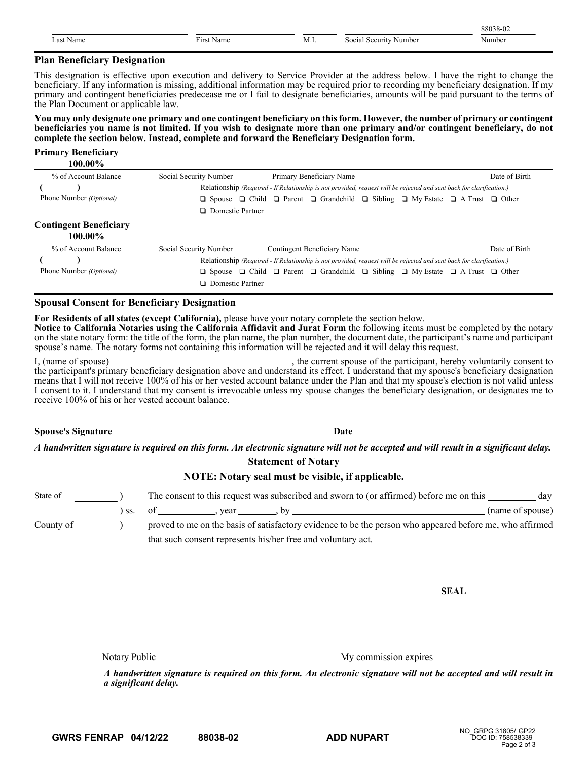|                                                                                                                        |                         |       | $\sim$ $\sim$ |
|------------------------------------------------------------------------------------------------------------------------|-------------------------|-------|---------------|
| чан<br>the contract of the contract of the contract of the contract of the contract of the contract of the contract of | -<br>$-1.4.44$<br>NATIN | N<br> |               |

## **Plan Beneficiary Designation**

This designation is effective upon execution and delivery to Service Provider at the address below. I have the right to change the beneficiary. If any information is missing, additional information may be required prior to recording my beneficiary designation. If my primary and contingent beneficiaries predecease me or I fail to designate beneficiaries, amounts will be paid pursuant to the terms of the Plan Document or applicable law.

**You may only designate one primary and one contingent beneficiary on this form. However, the number of primary or contingent beneficiaries you name is not limited. If you wish to designate more than one primary and/or contingent beneficiary, do not complete the section below. Instead, complete and forward the Beneficiary Designation form.**

# **Primary Beneficiary**

**100.00%**

| % of Account Balance    | Social Security Number  | Primary Beneficiary Name                                                                                             | Date of Birth |
|-------------------------|-------------------------|----------------------------------------------------------------------------------------------------------------------|---------------|
|                         |                         | Relationship (Required - If Relationship is not provided, request will be rejected and sent back for clarification.) |               |
| Phone Number (Optional) | $\Box$ Spouse           | $\Box$ Child $\Box$ Parent $\Box$ Grandchild $\Box$ Sibling $\Box$ My Estate $\Box$ A Trust $\Box$ Other             |               |
|                         | $\Box$ Domestic Partner |                                                                                                                      |               |
| ____                    |                         |                                                                                                                      |               |

# **Contingent Beneficiary**

| 100.00%                        |                                                                                                                      |                                                                                                                                        |               |  |
|--------------------------------|----------------------------------------------------------------------------------------------------------------------|----------------------------------------------------------------------------------------------------------------------------------------|---------------|--|
| % of Account Balance           | Social Security Number                                                                                               | Contingent Beneficiary Name                                                                                                            | Date of Birth |  |
|                                | Relationship (Required - If Relationship is not provided, request will be rejected and sent back for clarification.) |                                                                                                                                        |               |  |
| Phone Number <i>(Optional)</i> |                                                                                                                      | <b>O</b> Spouse <b>Q</b> Child <b>Q</b> Parent <b>Q</b> Grandchild <b>Q</b> Sibling <b>Q</b> My Estate <b>Q</b> A Trust <b>Q</b> Other |               |  |
|                                | <b>Domestic Partner</b>                                                                                              |                                                                                                                                        |               |  |

# **Spousal Consent for Beneficiary Designation**

**For Residents of all states (except California),** please have your notary complete the section below.

**Notice to California Notaries using the California Affidavit and Jurat Form** the following items must be completed by the notary on the state notary form: the title of the form, the plan name, the plan number, the document date, the participant's name and participant spouse's name. The notary forms not containing this information will be rejected and it will delay this request.

I, (name of spouse) , the current spouse of the participant, hereby voluntarily consent to the participant's primary beneficiary designation above and understand its effect. I understand that my spouse's beneficiary designation means that I will not receive 100% of his or her vested account balance under the Plan and that my spouse's election is not valid unless I consent to it. I understand that my consent is irrevocable unless my spouse changes the beneficiary designation, or designates me to receive 100% of his or her vested account balance.

## **Spouse's Signature Date**

*A handwritten signature is required on this form. An electronic signature will not be accepted and will result in a significant delay.* **Statement of Notary**

# **NOTE: Notary seal must be visible, if applicable.**

| State of  | The consent to this request was subscribed and sworn to (or affirmed) before me on this                  | day              |
|-----------|----------------------------------------------------------------------------------------------------------|------------------|
|           | ss. of the vear                                                                                          | (name of spouse) |
| County of | proved to me on the basis of satisfactory evidence to be the person who appeared before me, who affirmed |                  |
|           | that such consent represents his/her free and voluntary act.                                             |                  |

**SEAL**

Notary Public My commission expires

*A handwritten signature is required on this form. An electronic signature will not be accepted and will result in a significant delay.*